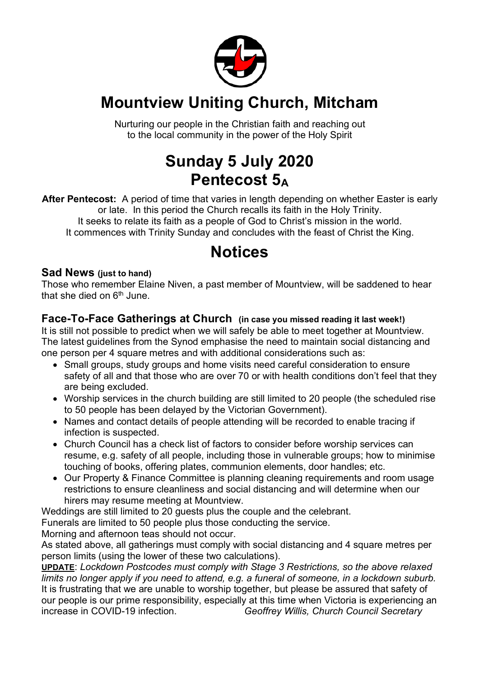

# **Mountview Uniting Church, Mitcham**

Nurturing our people in the Christian faith and reaching out to the local community in the power of the Holy Spirit

# **Sunday 5 July 2020 Pentecost 5A**

**After Pentecost:** A period of time that varies in length depending on whether Easter is early or late. In this period the Church recalls its faith in the Holy Trinity. It seeks to relate its faith as a people of God to Christ's mission in the world. It commences with Trinity Sunday and concludes with the feast of Christ the King.

## **Notices**

#### **Sad News (just to hand)**

Those who remember Elaine Niven, a past member of Mountview, will be saddened to hear that she died on  $6<sup>th</sup>$  June.

#### **Face-To-Face Gatherings at Church (in case you missed reading it last week!)**

It is still not possible to predict when we will safely be able to meet together at Mountview. The latest guidelines from the Synod emphasise the need to maintain social distancing and one person per 4 square metres and with additional considerations such as:

- Small groups, study groups and home visits need careful consideration to ensure safety of all and that those who are over 70 or with health conditions don't feel that they are being excluded.
- Worship services in the church building are still limited to 20 people (the scheduled rise to 50 people has been delayed by the Victorian Government).
- Names and contact details of people attending will be recorded to enable tracing if infection is suspected.
- Church Council has a check list of factors to consider before worship services can resume, e.g. safety of all people, including those in vulnerable groups; how to minimise touching of books, offering plates, communion elements, door handles; etc.
- Our Property & Finance Committee is planning cleaning requirements and room usage restrictions to ensure cleanliness and social distancing and will determine when our hirers may resume meeting at Mountview.

Weddings are still limited to 20 guests plus the couple and the celebrant.

Funerals are limited to 50 people plus those conducting the service.

Morning and afternoon teas should not occur.

As stated above, all gatherings must comply with social distancing and 4 square metres per person limits (using the lower of these two calculations).

**UPDATE**: *Lockdown Postcodes must comply with Stage 3 Restrictions, so the above relaxed limits no longer apply if you need to attend, e.g. a funeral of someone, in a lockdown suburb.* It is frustrating that we are unable to worship together, but please be assured that safety of our people is our prime responsibility, especially at this time when Victoria is experiencing an increase in COVID-19 infection. *Geoffrey Willis, Church Council Secretary*